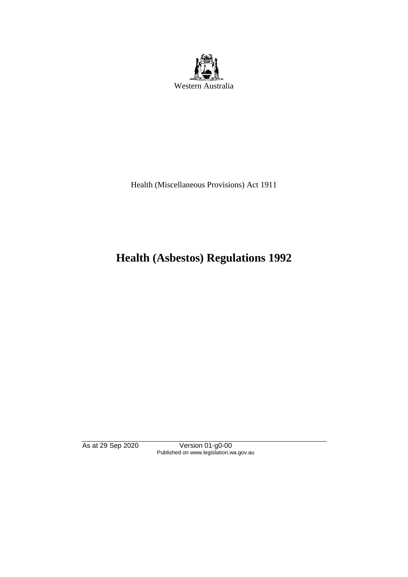

Health (Miscellaneous Provisions) Act 1911

# **Health (Asbestos) Regulations 1992**

As at 29 Sep 2020 Version 01-g0-00 Published on www.legislation.wa.gov.au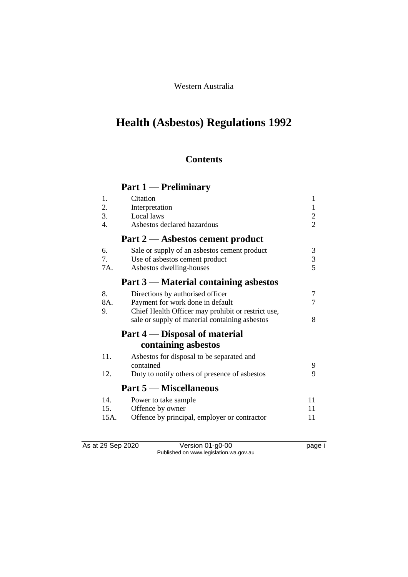#### Western Australia

# **Health (Asbestos) Regulations 1992**

### **Contents**

## **Part 1 — Preliminary**

| 1.               | Citation                                           | 1              |
|------------------|----------------------------------------------------|----------------|
| 2.               | Interpretation                                     | $\mathbf{1}$   |
| 3.               | Local laws                                         | $\overline{c}$ |
| $\overline{4}$ . | Asbestos declared hazardous                        | $\overline{2}$ |
|                  | Part 2 — Asbestos cement product                   |                |
| 6.               | Sale or supply of an asbestos cement product       | 3              |
| 7.               | Use of asbestos cement product                     | $\mathfrak{Z}$ |
| 7A.              | Asbestos dwelling-houses                           | 5              |
|                  | Part 3 — Material containing asbestos              |                |
| 8.               | Directions by authorised officer                   | 7              |
| 8A.              | Payment for work done in default                   | 7              |
| 9.               | Chief Health Officer may prohibit or restrict use, |                |
|                  | sale or supply of material containing asbestos     | 8              |
|                  | Part 4 — Disposal of material                      |                |
|                  | containing asbestos                                |                |
| 11.              | Asbestos for disposal to be separated and          |                |
|                  | contained                                          | 9              |
| 12.              | Duty to notify others of presence of asbestos      | 9              |
|                  | <b>Part 5 – Miscellaneous</b>                      |                |
| 14.              | Power to take sample                               | 11             |
| 15.              | Offence by owner                                   | 11             |
| 15A.             | Offence by principal, employer or contractor       | 11             |

As at 29 Sep 2020 Version 01-g0-00 page i Published on www.legislation.wa.gov.au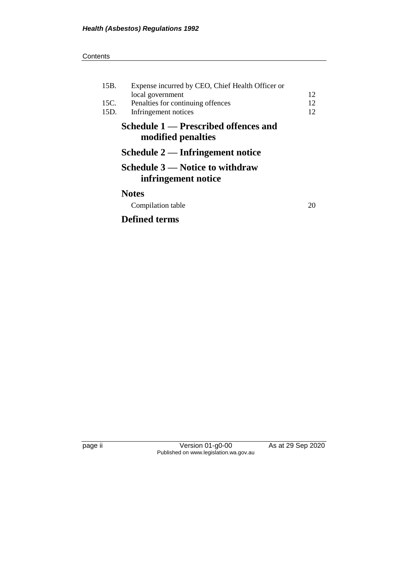#### **Contents**

| 15B.<br>15C. | Expense incurred by CEO, Chief Health Officer or<br>local government<br>Penalties for continuing offences | 12<br>12 |
|--------------|-----------------------------------------------------------------------------------------------------------|----------|
| 15D.         | Infringement notices                                                                                      | 12       |
|              | Schedule 1 — Prescribed offences and<br>modified penalties                                                |          |
|              | Schedule 2 — Infringement notice                                                                          |          |
|              | Schedule 3 — Notice to withdraw<br>infringement notice                                                    |          |
|              | <b>Notes</b><br>Compilation table                                                                         | 20       |
|              |                                                                                                           |          |

## **Defined terms**

page ii Version 01-g0-00 As at 29 Sep 2020 Published on www.legislation.wa.gov.au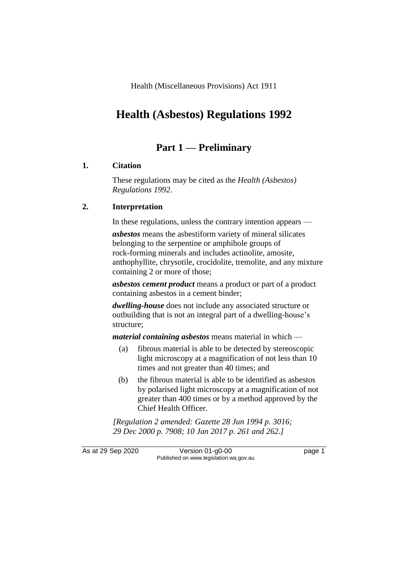Health (Miscellaneous Provisions) Act 1911

## **Health (Asbestos) Regulations 1992**

### **Part 1 — Preliminary**

#### **1. Citation**

These regulations may be cited as the *Health (Asbestos) Regulations 1992*.

#### **2. Interpretation**

In these regulations, unless the contrary intention appears —

*asbestos* means the asbestiform variety of mineral silicates belonging to the serpentine or amphibole groups of rock-forming minerals and includes actinolite, amosite, anthophyllite, chrysotile, crocidolite, tremolite, and any mixture containing 2 or more of those;

*asbestos cement product* means a product or part of a product containing asbestos in a cement binder;

*dwelling-house* does not include any associated structure or outbuilding that is not an integral part of a dwelling-house's structure;

*material containing asbestos* means material in which —

- (a) fibrous material is able to be detected by stereoscopic light microscopy at a magnification of not less than 10 times and not greater than 40 times; and
- (b) the fibrous material is able to be identified as asbestos by polarised light microscopy at a magnification of not greater than 400 times or by a method approved by the Chief Health Officer.

*[Regulation 2 amended: Gazette 28 Jun 1994 p. 3016; 29 Dec 2000 p. 7908; 10 Jan 2017 p. 261 and 262.]*

As at 29 Sep 2020 Version 01-g0-00 page 1 Published on www.legislation.wa.gov.au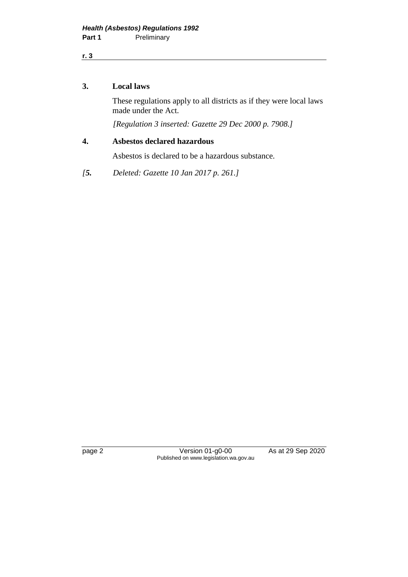**r. 3**

#### **3. Local laws**

These regulations apply to all districts as if they were local laws made under the Act.

*[Regulation 3 inserted: Gazette 29 Dec 2000 p. 7908.]*

#### **4. Asbestos declared hazardous**

Asbestos is declared to be a hazardous substance.

*[5. Deleted: Gazette 10 Jan 2017 p. 261.]*

page 2 Version 01-g0-00 As at 29 Sep 2020 Published on www.legislation.wa.gov.au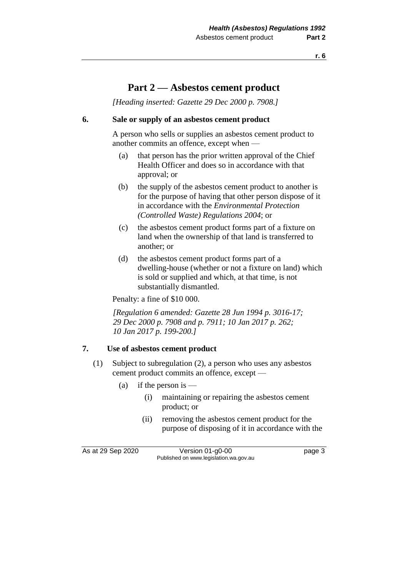**r. 6**

### **Part 2 — Asbestos cement product**

*[Heading inserted: Gazette 29 Dec 2000 p. 7908.]*

#### **6. Sale or supply of an asbestos cement product**

A person who sells or supplies an asbestos cement product to another commits an offence, except when —

- (a) that person has the prior written approval of the Chief Health Officer and does so in accordance with that approval; or
- (b) the supply of the asbestos cement product to another is for the purpose of having that other person dispose of it in accordance with the *Environmental Protection (Controlled Waste) Regulations 2004*; or
- (c) the asbestos cement product forms part of a fixture on land when the ownership of that land is transferred to another; or
- (d) the asbestos cement product forms part of a dwelling-house (whether or not a fixture on land) which is sold or supplied and which, at that time, is not substantially dismantled.

Penalty: a fine of \$10 000.

*[Regulation 6 amended: Gazette 28 Jun 1994 p. 3016-17; 29 Dec 2000 p. 7908 and p. 7911; 10 Jan 2017 p. 262; 10 Jan 2017 p. 199-200.]*

#### **7. Use of asbestos cement product**

- (1) Subject to subregulation (2), a person who uses any asbestos cement product commits an offence, except —
	- (a) if the person is  $-$ 
		- (i) maintaining or repairing the asbestos cement product; or
		- (ii) removing the asbestos cement product for the purpose of disposing of it in accordance with the

As at 29 Sep 2020 Version 01-g0-00 page 3 Published on www.legislation.wa.gov.au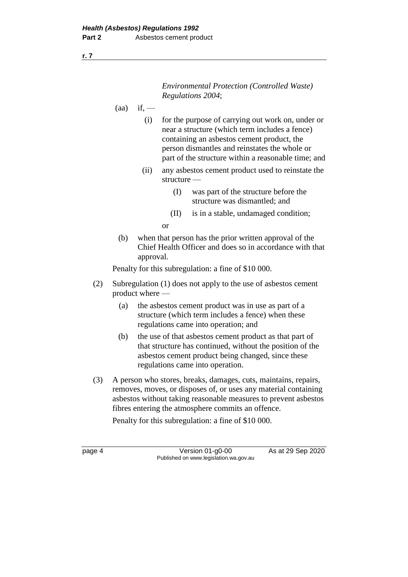*Environmental Protection (Controlled Waste) Regulations 2004*;

$$
(aa) \quad \text{if,}\quad -
$$

- (i) for the purpose of carrying out work on, under or near a structure (which term includes a fence) containing an asbestos cement product, the person dismantles and reinstates the whole or part of the structure within a reasonable time; and
- (ii) any asbestos cement product used to reinstate the structure —
	- (I) was part of the structure before the structure was dismantled; and
	- (II) is in a stable, undamaged condition;

or

(b) when that person has the prior written approval of the Chief Health Officer and does so in accordance with that approval.

Penalty for this subregulation: a fine of \$10 000.

- (2) Subregulation (1) does not apply to the use of asbestos cement product where —
	- (a) the asbestos cement product was in use as part of a structure (which term includes a fence) when these regulations came into operation; and
	- (b) the use of that asbestos cement product as that part of that structure has continued, without the position of the asbestos cement product being changed, since these regulations came into operation.
- (3) A person who stores, breaks, damages, cuts, maintains, repairs, removes, moves, or disposes of, or uses any material containing asbestos without taking reasonable measures to prevent asbestos fibres entering the atmosphere commits an offence.

Penalty for this subregulation: a fine of \$10 000.

page 4 Version 01-g0-00 As at 29 Sep 2020 Published on www.legislation.wa.gov.au

**r. 7**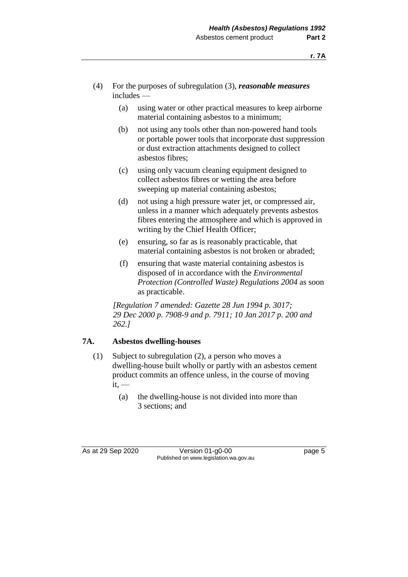- (4) For the purposes of subregulation (3), *reasonable measures* includes —
	- (a) using water or other practical measures to keep airborne material containing asbestos to a minimum;
	- (b) not using any tools other than non-powered hand tools or portable power tools that incorporate dust suppression or dust extraction attachments designed to collect asbestos fibres;
	- (c) using only vacuum cleaning equipment designed to collect asbestos fibres or wetting the area before sweeping up material containing asbestos;
	- (d) not using a high pressure water jet, or compressed air, unless in a manner which adequately prevents asbestos fibres entering the atmosphere and which is approved in writing by the Chief Health Officer;
	- (e) ensuring, so far as is reasonably practicable, that material containing asbestos is not broken or abraded;
	- (f) ensuring that waste material containing asbestos is disposed of in accordance with the *Environmental Protection (Controlled Waste) Regulations 2004* as soon as practicable.

*[Regulation 7 amended: Gazette 28 Jun 1994 p. 3017; 29 Dec 2000 p. 7908-9 and p. 7911; 10 Jan 2017 p. 200 and 262.]*

#### **7A. Asbestos dwelling-houses**

- (1) Subject to subregulation (2), a person who moves a dwelling-house built wholly or partly with an asbestos cement product commits an offence unless, in the course of moving  $it,$  —
	- (a) the dwelling-house is not divided into more than 3 sections; and

As at 29 Sep 2020 Version 01-g0-00 page 5 Published on www.legislation.wa.gov.au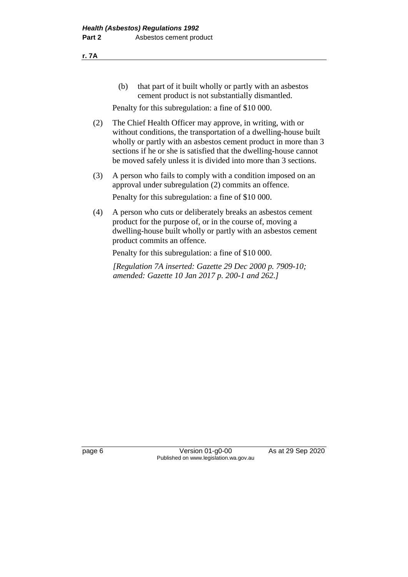(b) that part of it built wholly or partly with an asbestos cement product is not substantially dismantled.

Penalty for this subregulation: a fine of \$10 000.

- (2) The Chief Health Officer may approve, in writing, with or without conditions, the transportation of a dwelling-house built wholly or partly with an asbestos cement product in more than 3 sections if he or she is satisfied that the dwelling-house cannot be moved safely unless it is divided into more than 3 sections.
- (3) A person who fails to comply with a condition imposed on an approval under subregulation (2) commits an offence. Penalty for this subregulation: a fine of \$10 000.
- (4) A person who cuts or deliberately breaks an asbestos cement product for the purpose of, or in the course of, moving a dwelling-house built wholly or partly with an asbestos cement product commits an offence.

Penalty for this subregulation: a fine of \$10 000.

*[Regulation 7A inserted: Gazette 29 Dec 2000 p. 7909-10; amended: Gazette 10 Jan 2017 p. 200-1 and 262.]*

**r. 7A**

page 6 Version 01-g0-00 As at 29 Sep 2020 Published on www.legislation.wa.gov.au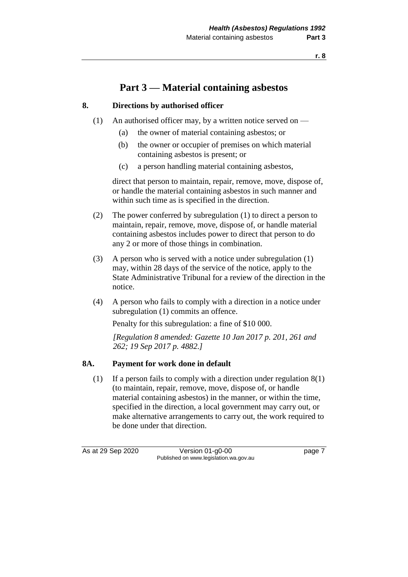### **Part 3 — Material containing asbestos**

#### **8. Directions by authorised officer**

- (1) An authorised officer may, by a written notice served on
	- (a) the owner of material containing asbestos; or
	- (b) the owner or occupier of premises on which material containing asbestos is present; or
	- (c) a person handling material containing asbestos,

direct that person to maintain, repair, remove, move, dispose of, or handle the material containing asbestos in such manner and within such time as is specified in the direction.

- (2) The power conferred by subregulation (1) to direct a person to maintain, repair, remove, move, dispose of, or handle material containing asbestos includes power to direct that person to do any 2 or more of those things in combination.
- (3) A person who is served with a notice under subregulation (1) may, within 28 days of the service of the notice, apply to the State Administrative Tribunal for a review of the direction in the notice.
- (4) A person who fails to comply with a direction in a notice under subregulation (1) commits an offence.

Penalty for this subregulation: a fine of \$10 000.

*[Regulation 8 amended: Gazette 10 Jan 2017 p. 201, 261 and 262; 19 Sep 2017 p. 4882.]*

#### **8A. Payment for work done in default**

(1) If a person fails to comply with a direction under regulation 8(1) (to maintain, repair, remove, move, dispose of, or handle material containing asbestos) in the manner, or within the time, specified in the direction, a local government may carry out, or make alternative arrangements to carry out, the work required to be done under that direction.

As at 29 Sep 2020 Version 01-g0-00 page 7 Published on www.legislation.wa.gov.au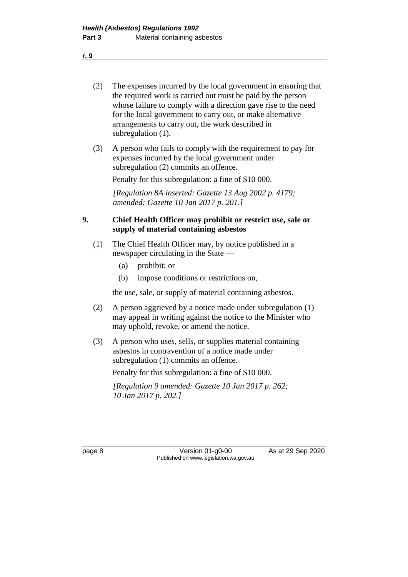- (2) The expenses incurred by the local government in ensuring that the required work is carried out must be paid by the person whose failure to comply with a direction gave rise to the need for the local government to carry out, or make alternative arrangements to carry out, the work described in subregulation  $(1)$ .
- (3) A person who fails to comply with the requirement to pay for expenses incurred by the local government under subregulation (2) commits an offence.

Penalty for this subregulation: a fine of \$10 000.

*[Regulation 8A inserted: Gazette 13 Aug 2002 p. 4179; amended: Gazette 10 Jan 2017 p. 201.]*

#### **9. Chief Health Officer may prohibit or restrict use, sale or supply of material containing asbestos**

- (1) The Chief Health Officer may, by notice published in a newspaper circulating in the State —
	- (a) prohibit; or
	- (b) impose conditions or restrictions on,

the use, sale, or supply of material containing asbestos.

- (2) A person aggrieved by a notice made under subregulation (1) may appeal in writing against the notice to the Minister who may uphold, revoke, or amend the notice.
- (3) A person who uses, sells, or supplies material containing asbestos in contravention of a notice made under subregulation (1) commits an offence.

Penalty for this subregulation: a fine of \$10 000.

*[Regulation 9 amended: Gazette 10 Jan 2017 p. 262; 10 Jan 2017 p. 202.]*

page 8 Version 01-g0-00 As at 29 Sep 2020 Published on www.legislation.wa.gov.au

**r. 9**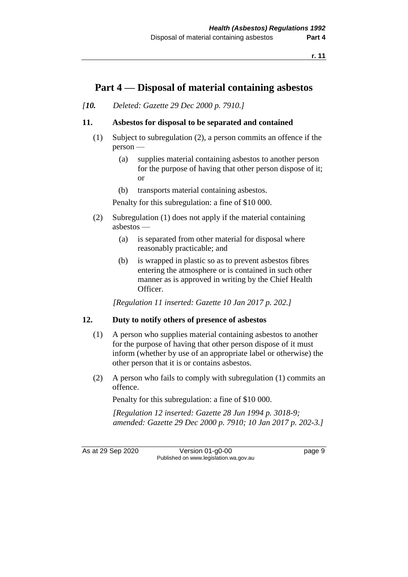### **Part 4 — Disposal of material containing asbestos**

*[10. Deleted: Gazette 29 Dec 2000 p. 7910.]*

#### **11. Asbestos for disposal to be separated and contained**

- (1) Subject to subregulation (2), a person commits an offence if the person —
	- (a) supplies material containing asbestos to another person for the purpose of having that other person dispose of it; or
	- (b) transports material containing asbestos.

Penalty for this subregulation: a fine of \$10 000.

- (2) Subregulation (1) does not apply if the material containing asbestos —
	- (a) is separated from other material for disposal where reasonably practicable; and
	- (b) is wrapped in plastic so as to prevent asbestos fibres entering the atmosphere or is contained in such other manner as is approved in writing by the Chief Health Officer.

*[Regulation 11 inserted: Gazette 10 Jan 2017 p. 202.]*

#### **12. Duty to notify others of presence of asbestos**

- (1) A person who supplies material containing asbestos to another for the purpose of having that other person dispose of it must inform (whether by use of an appropriate label or otherwise) the other person that it is or contains asbestos.
- (2) A person who fails to comply with subregulation (1) commits an offence.

Penalty for this subregulation: a fine of \$10 000.

*[Regulation 12 inserted: Gazette 28 Jun 1994 p. 3018-9; amended: Gazette 29 Dec 2000 p. 7910; 10 Jan 2017 p. 202-3.]*

As at 29 Sep 2020 Version 01-g0-00 page 9 Published on www.legislation.wa.gov.au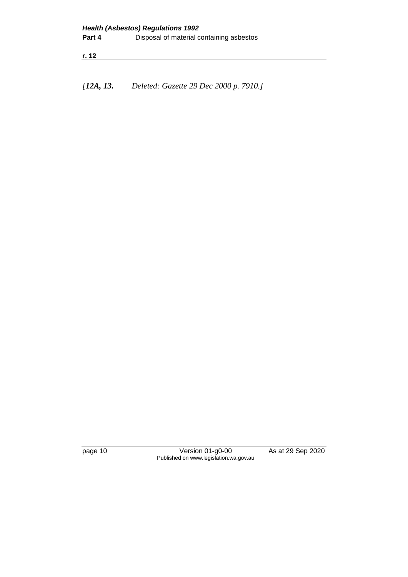**r. 12**

*[12A, 13. Deleted: Gazette 29 Dec 2000 p. 7910.]*

page 10 Version 01-g0-00 As at 29 Sep 2020 Published on www.legislation.wa.gov.au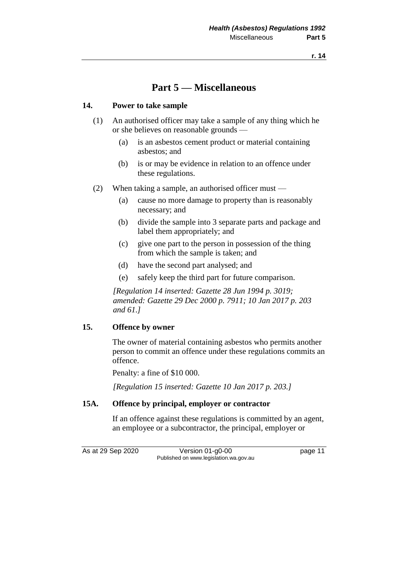### **Part 5 — Miscellaneous**

#### **14. Power to take sample**

- (1) An authorised officer may take a sample of any thing which he or she believes on reasonable grounds —
	- (a) is an asbestos cement product or material containing asbestos; and
	- (b) is or may be evidence in relation to an offence under these regulations.
- (2) When taking a sample, an authorised officer must
	- (a) cause no more damage to property than is reasonably necessary; and
	- (b) divide the sample into 3 separate parts and package and label them appropriately; and
	- (c) give one part to the person in possession of the thing from which the sample is taken; and
	- (d) have the second part analysed; and
	- (e) safely keep the third part for future comparison.

*[Regulation 14 inserted: Gazette 28 Jun 1994 p. 3019; amended: Gazette 29 Dec 2000 p. 7911; 10 Jan 2017 p. 203 and 61.]*

#### **15. Offence by owner**

The owner of material containing asbestos who permits another person to commit an offence under these regulations commits an offence.

Penalty: a fine of \$10 000.

*[Regulation 15 inserted: Gazette 10 Jan 2017 p. 203.]*

#### **15A. Offence by principal, employer or contractor**

If an offence against these regulations is committed by an agent, an employee or a subcontractor, the principal, employer or

As at 29 Sep 2020 Version 01-g0-00 page 11 Published on www.legislation.wa.gov.au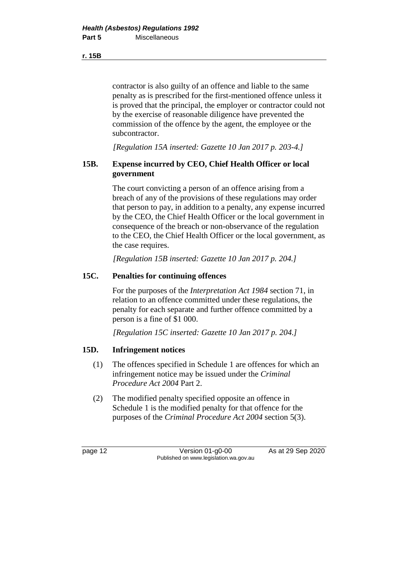contractor is also guilty of an offence and liable to the same penalty as is prescribed for the first-mentioned offence unless it is proved that the principal, the employer or contractor could not by the exercise of reasonable diligence have prevented the commission of the offence by the agent, the employee or the subcontractor.

*[Regulation 15A inserted: Gazette 10 Jan 2017 p. 203-4.]*

#### **15B. Expense incurred by CEO, Chief Health Officer or local government**

The court convicting a person of an offence arising from a breach of any of the provisions of these regulations may order that person to pay, in addition to a penalty, any expense incurred by the CEO, the Chief Health Officer or the local government in consequence of the breach or non-observance of the regulation to the CEO, the Chief Health Officer or the local government, as the case requires.

*[Regulation 15B inserted: Gazette 10 Jan 2017 p. 204.]*

#### **15C. Penalties for continuing offences**

For the purposes of the *Interpretation Act 1984* section 71, in relation to an offence committed under these regulations, the penalty for each separate and further offence committed by a person is a fine of \$1 000.

*[Regulation 15C inserted: Gazette 10 Jan 2017 p. 204.]*

#### **15D. Infringement notices**

- (1) The offences specified in Schedule 1 are offences for which an infringement notice may be issued under the *Criminal Procedure Act 2004* Part 2.
- (2) The modified penalty specified opposite an offence in Schedule 1 is the modified penalty for that offence for the purposes of the *Criminal Procedure Act 2004* section 5(3).

page 12 Version 01-g0-00 As at 29 Sep 2020 Published on www.legislation.wa.gov.au

**r. 15B**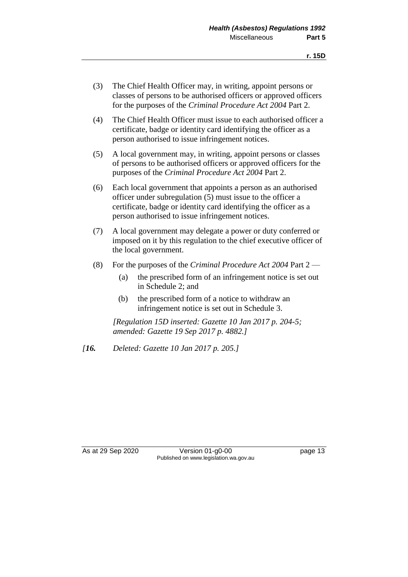- (3) The Chief Health Officer may, in writing, appoint persons or classes of persons to be authorised officers or approved officers for the purposes of the *Criminal Procedure Act 2004* Part 2.
- (4) The Chief Health Officer must issue to each authorised officer a certificate, badge or identity card identifying the officer as a person authorised to issue infringement notices.
- (5) A local government may, in writing, appoint persons or classes of persons to be authorised officers or approved officers for the purposes of the *Criminal Procedure Act 2004* Part 2.
- (6) Each local government that appoints a person as an authorised officer under subregulation (5) must issue to the officer a certificate, badge or identity card identifying the officer as a person authorised to issue infringement notices.
- (7) A local government may delegate a power or duty conferred or imposed on it by this regulation to the chief executive officer of the local government.
- (8) For the purposes of the *Criminal Procedure Act 2004* Part 2
	- (a) the prescribed form of an infringement notice is set out in Schedule 2; and
	- (b) the prescribed form of a notice to withdraw an infringement notice is set out in Schedule 3.

*[Regulation 15D inserted: Gazette 10 Jan 2017 p. 204-5; amended: Gazette 19 Sep 2017 p. 4882.]*

*[16. Deleted: Gazette 10 Jan 2017 p. 205.]*

As at 29 Sep 2020 Version 01-g0-00 page 13 Published on www.legislation.wa.gov.au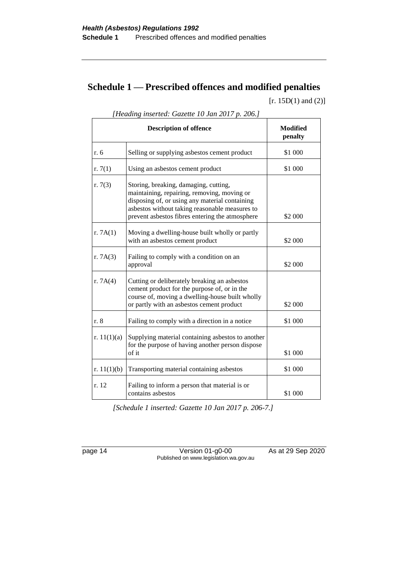## **Schedule 1 — Prescribed offences and modified penalties**

 $[r. 15D(1)$  and  $(2)]$ 

|               | <b>Description of offence</b>                                                                                                                                                                                                               | Modified<br>penalty |
|---------------|---------------------------------------------------------------------------------------------------------------------------------------------------------------------------------------------------------------------------------------------|---------------------|
| r. 6          | Selling or supplying asbestos cement product                                                                                                                                                                                                | \$1 000             |
| r. $7(1)$     | Using an asbestos cement product                                                                                                                                                                                                            | \$1 000             |
| r. $7(3)$     | Storing, breaking, damaging, cutting,<br>maintaining, repairing, removing, moving or<br>disposing of, or using any material containing<br>asbestos without taking reasonable measures to<br>prevent asbestos fibres entering the atmosphere | \$2 000             |
| r. $7A(1)$    | Moving a dwelling-house built wholly or partly<br>with an asbestos cement product                                                                                                                                                           | \$2 000             |
| r. $7A(3)$    | Failing to comply with a condition on an<br>approval                                                                                                                                                                                        | \$2 000             |
| r. $7A(4)$    | Cutting or deliberately breaking an asbestos<br>cement product for the purpose of, or in the<br>course of, moving a dwelling-house built wholly<br>or partly with an asbestos cement product                                                | \$2 000             |
| r. 8          | Failing to comply with a direction in a notice                                                                                                                                                                                              | \$1 000             |
| r. $11(1)(a)$ | Supplying material containing asbestos to another<br>for the purpose of having another person dispose<br>of it                                                                                                                              | \$1 000             |
| r. $11(1)(b)$ | Transporting material containing asbestos                                                                                                                                                                                                   | \$1 000             |
| r. 12         | Failing to inform a person that material is or<br>contains asbestos                                                                                                                                                                         | \$1 000             |

*[Heading inserted: Gazette 10 Jan 2017 p. 206.]*

*[Schedule 1 inserted: Gazette 10 Jan 2017 p. 206-7.]*

page 14 Version 01-g0-00 As at 29 Sep 2020 Published on www.legislation.wa.gov.au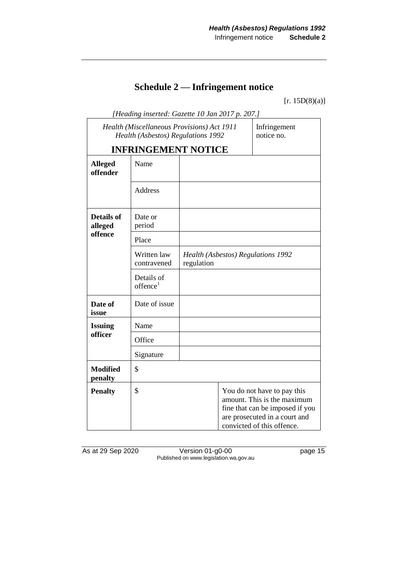## **Schedule 2 — Infringement notice**

 $[r. 15D(8)(a)]$ 

| [Heading inserted: Gazette 10 Jan 2017 p. 207.]                                  |                                    |            |  |                                                                                                                                                              |  |
|----------------------------------------------------------------------------------|------------------------------------|------------|--|--------------------------------------------------------------------------------------------------------------------------------------------------------------|--|
| Health (Miscellaneous Provisions) Act 1911<br>Health (Asbestos) Regulations 1992 |                                    |            |  | Infringement<br>notice no.                                                                                                                                   |  |
|                                                                                  | <b>INFRINGEMENT NOTICE</b>         |            |  |                                                                                                                                                              |  |
| <b>Alleged</b><br>offender                                                       | Name                               |            |  |                                                                                                                                                              |  |
|                                                                                  | <b>Address</b>                     |            |  |                                                                                                                                                              |  |
| <b>Details of</b><br>alleged                                                     | Date or<br>period                  |            |  |                                                                                                                                                              |  |
| offence                                                                          | Place                              |            |  |                                                                                                                                                              |  |
|                                                                                  | Written law<br>contravened         | regulation |  | Health (Asbestos) Regulations 1992                                                                                                                           |  |
|                                                                                  | Details of<br>offence <sup>1</sup> |            |  |                                                                                                                                                              |  |
| Date of<br>issue                                                                 | Date of issue                      |            |  |                                                                                                                                                              |  |
| <b>Issuing</b>                                                                   | Name                               |            |  |                                                                                                                                                              |  |
| officer                                                                          | Office                             |            |  |                                                                                                                                                              |  |
|                                                                                  | Signature                          |            |  |                                                                                                                                                              |  |
| <b>Modified</b><br>penalty                                                       | \$                                 |            |  |                                                                                                                                                              |  |
| <b>Penalty</b>                                                                   | \$                                 |            |  | You do not have to pay this<br>amount. This is the maximum<br>fine that can be imposed if you<br>are prosecuted in a court and<br>convicted of this offence. |  |

As at 29 Sep 2020 **Version 01-g0-00 page 15** Published on www.legislation.wa.gov.au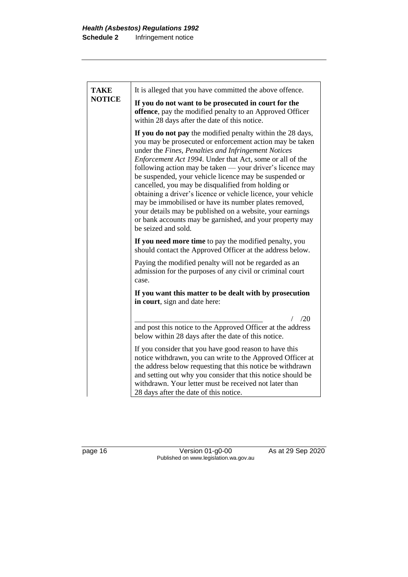| <b>TAKE</b><br><b>NOTICE</b> | It is alleged that you have committed the above offence.                                                                                                                                                                                                                                                                                                                                                                                                                                                                                                                                                                                                                                         |
|------------------------------|--------------------------------------------------------------------------------------------------------------------------------------------------------------------------------------------------------------------------------------------------------------------------------------------------------------------------------------------------------------------------------------------------------------------------------------------------------------------------------------------------------------------------------------------------------------------------------------------------------------------------------------------------------------------------------------------------|
|                              | If you do not want to be prosecuted in court for the<br>offence, pay the modified penalty to an Approved Officer<br>within 28 days after the date of this notice.                                                                                                                                                                                                                                                                                                                                                                                                                                                                                                                                |
|                              | If you do not pay the modified penalty within the 28 days,<br>you may be prosecuted or enforcement action may be taken<br>under the Fines, Penalties and Infringement Notices<br>Enforcement Act 1994. Under that Act, some or all of the<br>following action may be taken — your driver's licence may<br>be suspended, your vehicle licence may be suspended or<br>cancelled, you may be disqualified from holding or<br>obtaining a driver's licence or vehicle licence, your vehicle<br>may be immobilised or have its number plates removed,<br>your details may be published on a website, your earnings<br>or bank accounts may be garnished, and your property may<br>be seized and sold. |
|                              | If you need more time to pay the modified penalty, you<br>should contact the Approved Officer at the address below.                                                                                                                                                                                                                                                                                                                                                                                                                                                                                                                                                                              |
|                              | Paying the modified penalty will not be regarded as an<br>admission for the purposes of any civil or criminal court<br>case.                                                                                                                                                                                                                                                                                                                                                                                                                                                                                                                                                                     |
|                              | If you want this matter to be dealt with by prosecution<br>in court, sign and date here:                                                                                                                                                                                                                                                                                                                                                                                                                                                                                                                                                                                                         |
|                              | /20                                                                                                                                                                                                                                                                                                                                                                                                                                                                                                                                                                                                                                                                                              |
|                              | and post this notice to the Approved Officer at the address<br>below within 28 days after the date of this notice.                                                                                                                                                                                                                                                                                                                                                                                                                                                                                                                                                                               |
|                              | If you consider that you have good reason to have this<br>notice withdrawn, you can write to the Approved Officer at<br>the address below requesting that this notice be withdrawn<br>and setting out why you consider that this notice should be<br>withdrawn. Your letter must be received not later than<br>28 days after the date of this notice.                                                                                                                                                                                                                                                                                                                                            |

page 16 Version 01-g0-00 As at 29 Sep 2020 Published on www.legislation.wa.gov.au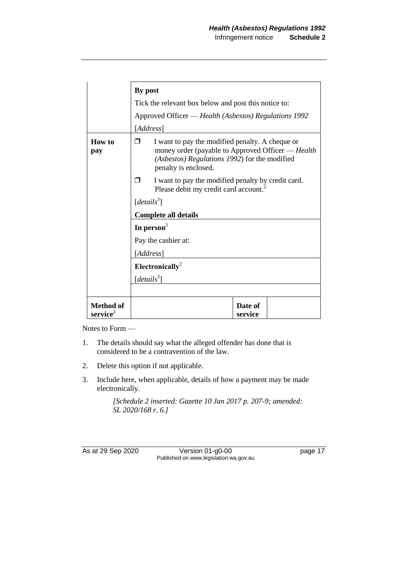|                                          | By post                                                                                                                                                                            |  |  |  |
|------------------------------------------|------------------------------------------------------------------------------------------------------------------------------------------------------------------------------------|--|--|--|
|                                          | Tick the relevant box below and post this notice to:                                                                                                                               |  |  |  |
|                                          | Approved Officer - Health (Asbestos) Regulations 1992                                                                                                                              |  |  |  |
|                                          | [Address]                                                                                                                                                                          |  |  |  |
| <b>How</b> to<br>pay                     | I want to pay the modified penalty. A cheque or<br>⊓<br>money order (payable to Approved Officer — Health<br>(Asbestos) Regulations 1992) for the modified<br>penalty is enclosed. |  |  |  |
|                                          | I want to pay the modified penalty by credit card.<br>⊓<br>Please debit my credit card account.                                                                                    |  |  |  |
|                                          | $[details^3]$                                                                                                                                                                      |  |  |  |
|                                          | <b>Complete all details</b>                                                                                                                                                        |  |  |  |
|                                          | In person <sup>2</sup>                                                                                                                                                             |  |  |  |
|                                          | Pay the cashier at:                                                                                                                                                                |  |  |  |
|                                          | [Address]                                                                                                                                                                          |  |  |  |
|                                          | Electronically <sup>2</sup>                                                                                                                                                        |  |  |  |
|                                          | [details <sup>3</sup> ]                                                                                                                                                            |  |  |  |
|                                          |                                                                                                                                                                                    |  |  |  |
| <b>Method of</b><br>$\mathbf{service}^2$ | Date of<br>service                                                                                                                                                                 |  |  |  |

Notes to Form —

- 1. The details should say what the alleged offender has done that is considered to be a contravention of the law.
- 2. Delete this option if not applicable.
- 3. Include here, when applicable, details of how a payment may be made electronically.

*[Schedule 2 inserted: Gazette 10 Jan 2017 p. 207-9; amended: SL 2020/168 r. 6.]*

As at 29 Sep 2020 Version 01-g0-00 page 17 Published on www.legislation.wa.gov.au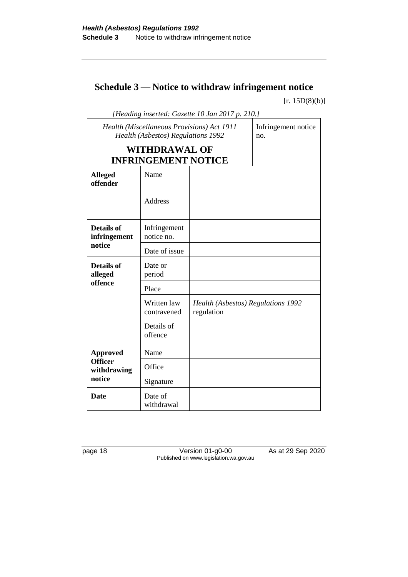## **Schedule 3 — Notice to withdraw infringement notice**

 $[r. 15D(8)(b)]$ 

| [Heading inserted: Gazette 10 Jan 2017 p. 210.]                                  |                                                    |                                                  |                            |  |  |
|----------------------------------------------------------------------------------|----------------------------------------------------|--------------------------------------------------|----------------------------|--|--|
| Health (Miscellaneous Provisions) Act 1911<br>Health (Asbestos) Regulations 1992 |                                                    |                                                  | Infringement notice<br>no. |  |  |
|                                                                                  | <b>WITHDRAWAL OF</b><br><b>INFRINGEMENT NOTICE</b> |                                                  |                            |  |  |
| <b>Alleged</b><br>offender                                                       | Name                                               |                                                  |                            |  |  |
|                                                                                  | <b>Address</b>                                     |                                                  |                            |  |  |
| <b>Details of</b><br>infringement                                                | Infringement<br>notice no.                         |                                                  |                            |  |  |
| notice                                                                           | Date of issue                                      |                                                  |                            |  |  |
| <b>Details of</b><br>alleged                                                     | Date or<br>period                                  |                                                  |                            |  |  |
| offence                                                                          | Place                                              |                                                  |                            |  |  |
|                                                                                  | Written law<br>contravened                         | Health (Asbestos) Regulations 1992<br>regulation |                            |  |  |
|                                                                                  | Details of<br>offence                              |                                                  |                            |  |  |
| <b>Approved</b>                                                                  | Name                                               |                                                  |                            |  |  |
| <b>Officer</b><br>withdrawing                                                    | Office                                             |                                                  |                            |  |  |
| notice                                                                           | Signature                                          |                                                  |                            |  |  |
| <b>Date</b>                                                                      | Date of<br>withdrawal                              |                                                  |                            |  |  |

page 18 Version 01-g0-00 As at 29 Sep 2020 Published on www.legislation.wa.gov.au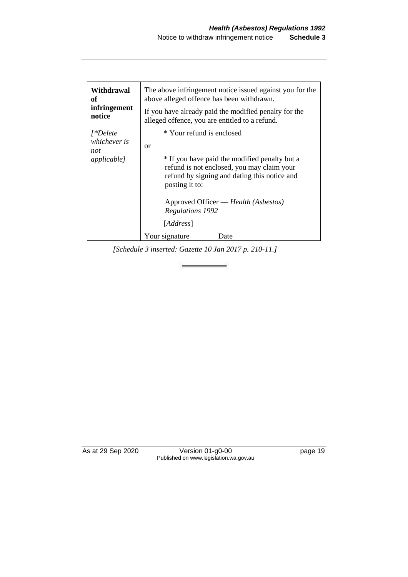| notice<br>alleged offence, you are entitled to a refund.                                                                                                                                                                                                                   |                                                                                               |
|----------------------------------------------------------------------------------------------------------------------------------------------------------------------------------------------------------------------------------------------------------------------------|-----------------------------------------------------------------------------------------------|
| * Your refund is enclosed<br>$\int^*Delete$<br>whichever is<br>or<br>not<br><i>applicable]</i><br>refund is not enclosed, you may claim your<br>posting it to:<br>Approved Officer — Health (Asbestos)<br>Regulations 1992<br>[ <i>Address</i> ]<br>Your signature<br>Date | * If you have paid the modified penalty but a<br>refund by signing and dating this notice and |

*[Schedule 3 inserted: Gazette 10 Jan 2017 p. 210-11.]*

As at 29 Sep 2020 Version 01-g0-00 page 19 Published on www.legislation.wa.gov.au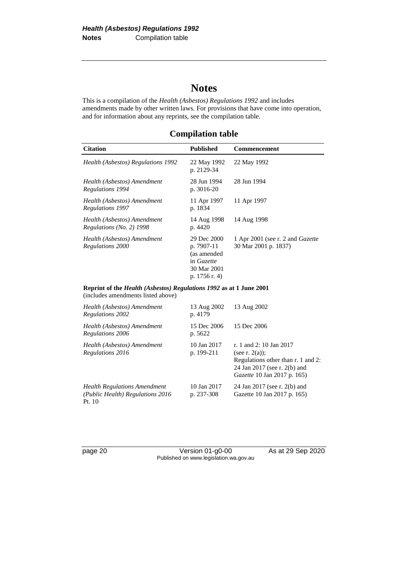## **Notes**

This is a compilation of the *Health (Asbestos) Regulations 1992* and includes amendments made by other written laws. For provisions that have come into operation, and for information about any reprints, see the compilation table.

**Compilation table**

| <b>Citation</b>                                         | <b>Published</b>                                                                       | <b>Commencement</b>                                             |
|---------------------------------------------------------|----------------------------------------------------------------------------------------|-----------------------------------------------------------------|
| Health (Asbestos) Regulations 1992                      | 22 May 1992<br>p. 2129-34                                                              | 22 May 1992                                                     |
| Health (Asbestos) Amendment<br>Regulations 1994         | 28 Jun 1994<br>p. 3016-20                                                              | 28 Jun 1994                                                     |
| Health (Asbestos) Amendment<br>Regulations 1997         | 11 Apr 1997<br>p. 1834                                                                 | 11 Apr 1997                                                     |
| Health (Asbestos) Amendment<br>Regulations (No. 2) 1998 | 14 Aug 1998<br>p. 4420                                                                 | 14 Aug 1998                                                     |
| Health (Asbestos) Amendment<br>Regulations 2000         | 29 Dec 2000<br>p. 7907-11<br>(as amended<br>in Gazette<br>30 Mar 2001<br>p. 1756 r. 4) | 1 Apr 2001 (see r. 2 and <i>Gazette</i><br>30 Mar 2001 p. 1837) |

**Reprint of the** *Health (Asbestos) Regulations 1992* **as at 1 June 2001** (includes amendments listed above)

| Health (Asbestos) Amendment<br>Regulations 2002                                   | 13 Aug 2002<br>p. 4179    | 13 Aug 2002                                                                                                                                              |
|-----------------------------------------------------------------------------------|---------------------------|----------------------------------------------------------------------------------------------------------------------------------------------------------|
| Health (Asbestos) Amendment<br>Regulations 2006                                   | 15 Dec 2006<br>p. 5622    | 15 Dec 2006                                                                                                                                              |
| Health (Asbestos) Amendment<br>Regulations 2016                                   | 10 Jan 2017<br>p. 199-211 | r. 1 and 2: 10 Jan 2017<br>(see r. $2(a)$ );<br>Regulations other than r. 1 and 2:<br>24 Jan 2017 (see r. 2(b) and<br><i>Gazette</i> 10 Jan 2017 p. 165) |
| <b>Health Regulations Amendment</b><br>(Public Health) Regulations 2016<br>Pt. 10 | 10 Jan 2017<br>p. 237-308 | 24 Jan 2017 (see r. 2(b) and<br>Gazette 10 Jan 2017 p. 165)                                                                                              |

page 20 Version 01-g0-00 As at 29 Sep 2020 Published on www.legislation.wa.gov.au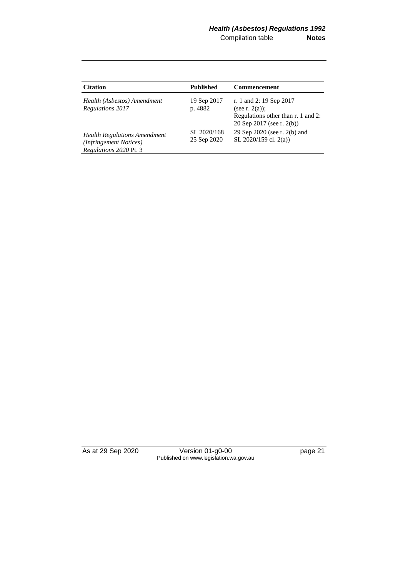| <b>Citation</b>                                                                         | <b>Published</b>           | <b>Commencement</b>                                                                                             |
|-----------------------------------------------------------------------------------------|----------------------------|-----------------------------------------------------------------------------------------------------------------|
| Health (Asbestos) Amendment<br><b>Regulations 2017</b>                                  | 19 Sep 2017<br>p. 4882     | r. 1 and 2: 19 Sep 2017<br>(see r. $2(a)$ );<br>Regulations other than r. 1 and 2:<br>20 Sep 2017 (see r. 2(b)) |
| <b>Health Regulations Amendment</b><br>(Infringement Notices)<br>Regulations 2020 Pt. 3 | SL 2020/168<br>25 Sep 2020 | 29 Sep 2020 (see r. 2(b) and<br>SL 2020/159 cl. 2(a))                                                           |

As at 29 Sep 2020 Version 01-g0-00 page 21 Published on www.legislation.wa.gov.au